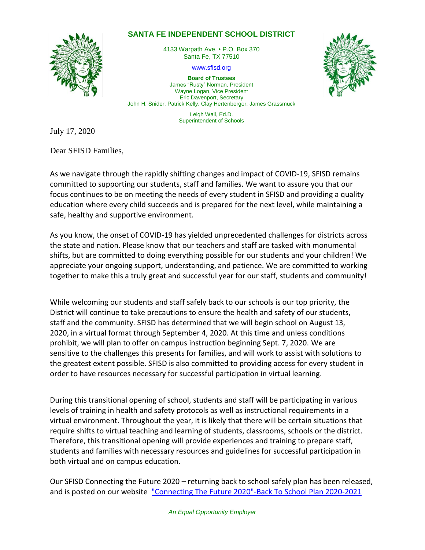## **SANTA FE INDEPENDENT SCHOOL DISTRICT**



4133 Warpath Ave. • P.O. Box 370 Santa Fe, TX 77510

[www.sfisd.org](http://www.sfisd.org/)

**Board of Trustees** James "Rusty" Norman, President Wayne Logan, Vice President Eric Davenport, Secretary John H. Snider, Patrick Kelly, Clay Hertenberger, James Grassmuck

> Leigh Wall, Ed.D. Superintendent of Schools

July 17, 2020

Dear SFISD Families,

As we navigate through the rapidly shifting changes and impact of COVID-19, SFISD remains committed to supporting our students, staff and families. We want to assure you that our focus continues to be on meeting the needs of every student in SFISD and providing a quality education where every child succeeds and is prepared for the next level, while maintaining a safe, healthy and supportive environment.

As you know, the onset of COVID-19 has yielded unprecedented challenges for districts across the state and nation. Please know that our teachers and staff are tasked with monumental shifts, but are committed to doing everything possible for our students and your children! We appreciate your ongoing support, understanding, and patience. We are committed to working together to make this a truly great and successful year for our staff, students and community!

While welcoming our students and staff safely back to our schools is our top priority, the District will continue to take precautions to ensure the health and safety of our students, staff and the community. SFISD has determined that we will begin school on August 13, 2020, in a virtual format through September 4, 2020. At this time and unless conditions prohibit, we will plan to offer on campus instruction beginning Sept. 7, 2020. We are sensitive to the challenges this presents for families, and will work to assist with solutions to the greatest extent possible. SFISD is also committed to providing access for every student in order to have resources necessary for successful participation in virtual learning.

During this transitional opening of school, students and staff will be participating in various levels of training in health and safety protocols as well as instructional requirements in a virtual environment. Throughout the year, it is likely that there will be certain situations that require shifts to virtual teaching and learning of students, classrooms, schools or the district. Therefore, this transitional opening will provide experiences and training to prepare staff, students and families with necessary resources and guidelines for successful participation in both virtual and on campus education.

Our SFISD Connecting the Future 2020 – returning back to school safely plan has been released, and is posted on our website ["Connecting The Future 2020"-Back To School Plan 2020-2021](https://www.sfisd.org/cms/lib/TX02215329/Centricity/Domain/1603/SFISD%20District%20Planning%20Guide%20Updated%207.16.2020.pdf)